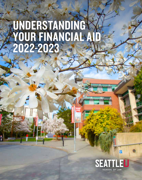# UNDERSTANDING YOUR FINANCIAL AID 2022-2023

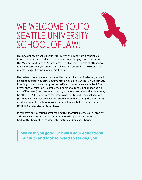

# WE WELCOME YOU TO SEATTLE UNIVERSITY SCHOOL OF LAW!

This booklet accompanies your Offer Letter and important financial aid information. Please read all materials carefully and pay special attention to the Master Conditions of Award Form (effective for all terms of attendance). It is important that you understand all your responsibilities to receive and maintain eligibility for financial aid funding.

The federal processor selects some files for verification. If selected, you will be asked to submit specific documentation and/or a verification worksheet. Entering students awarded prior to verification may receive a revised Offer Letter once verification is complete. If additional funds (not appearing on your Offer Letter) become available to you, your current award amount may be affected. All students are required to notify Student Financial Services (SFS) should they receive any other source of funding during the 2022–2023 academic year. If you have unusual circumstances that may affect your need for financial aid, please let us know.

If you have any questions after reading this material, please call or stop by SFS. We welcome the opportunity to meet with you. Please refer to the back of this booklet for contact information and business hours.

**Wewish you good luck with your educational pursuits and look forward to serving you.**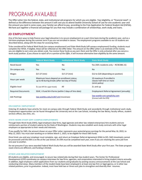## PROGRAMS AVAILABLE

The Offer Letter lists the federal, state, and institutional aid programs for which you are eligible. Your eligibility, or "financial need", is defined as the difference between the amount it will cost you to attend Seattle University School of Law for one academic year and the amount you (and in some cases, your family) can afford to pay, according to the Free Application for Federal Student Aid (FAFSA). We have put together a financial aid package for you that may include a combination of scholarships, work study, and loans.

## **JD EMPLOYMENT**

One of the best ways to help finance your legal education is to secure employment on a part-time basis during the academic year, and as a full-time employee during the summer term if you are not enrolled in classes. The employment programs available to our JD students are described below, along with the steps for accessing them.

To be considered for Federal Work Study (on-campus employment) and State Work Study (off-campus employment) funding, students must complete the FAFSA. If eligible, these will be reflected on the Offer letter. The amount on the Offer Letter is an estimate of the money you are eligible to earn once you obtain a job. You receive these funds as you earn them and the Offer is only activated after you secure a work study position. *If you choose to reject all or a portion of the Offer, it will increase alternative loan eligibility by the same amount.*

|                           | <b>Federal Work Study</b>                                                                       | <b>Institutional Work Study</b> | <b>State Work Study</b>                                                   |
|---------------------------|-------------------------------------------------------------------------------------------------|---------------------------------|---------------------------------------------------------------------------|
| Need-based                | Yes                                                                                             | No.                             | Yes (WA residents only - RCW28B.15)                                       |
| On-campus only            | Yes                                                                                             | Yes                             | No                                                                        |
| Wages                     | $$17.27$ (min)                                                                                  | $$17.27$ (min)                  | \$12 to \$20 (depending on position)                                      |
| Hours per week            | Maximum hours depend on enrollment status;<br>up to 40 during breaks (after last day of finals) |                                 | 19 maximum if enrolled in<br>classes half-time or more<br>(strict policy) |
| Eligible level            | 1L (see SFS for upper levels)                                                                   | All                             | 2L and up                                                                 |
| <b>Required Documents</b> | SEAF, I-9 and W-4 forms (within 3 days of hire date)                                            |                                 | Employment Referral Agreement (annually)                                  |
| <b>Job Postings</b>       | law.seattleu.edu/x1267.xml (Handshake)                                                          |                                 | law-seattle-csm.symplicity.com<br>(Connect with the CPD)                  |

## **ON-CAMPUS EMPLOYMENT**

Entering JD students have priority for most on-campus jobs through Federal Work Study and secondarily through institutional work study. Employment opportunities can be found throughout the University and at the Law School, including the law library, faculty offices, student services offices, law clinic, etc.

## **STATE WORK STUDY (OFF-CAMPUS EMPLOYMENT)**

Through State Work Study (SWS), legal employers (law firms, legal agencies and other law-related enterprises) hire students and are reimbursed a portion of student salaries by the State of Washington. Students may also establish work study contracts with other legal employers as appropriate to their needs and interests.

If you qualify for SWS, the amount shown on your Offer Letter represents your potential gross earnings for the period May 16, 2022, to May 12, 2023. You must start working on or before March 1, 2023, to be eligible for these SWS funds.

Once hired, you and your employer must complete, sign, and return an Employer Referral Agreement (ERA) to SFS. SWS timesheets cannot be processed until the ERA is on file at the Law School. *An ERA must be completed each year*, even if you are retaining the same job from one year to another.

Do not presume if you were awarded Federal Work Study that you will be awarded State Work Study after your first year. The State program need criteria are different, and funding is limited.

## **OTHER LAW-RELATED EMPLOYMENT**

All students are eligible, and encouraged, to secure law-related jobs during their law student years. The Center for Professional Development (CPD) coordinates on-campus interviews for law firms, agencies, and corporations interested in hiring student interns annually. In addition, legal employers solicit applications from our students and graduates by posting vacancy announcements at the Law School and conducting interviews. Many members of the student body have been employed in at least one law firm or legal agency, or in other lawrelated positions, prior to graduation. Indeed, most have held two or three such jobs to strengthen and diversify their resumes.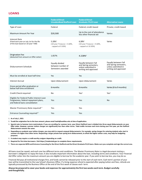## **LOANS**

|                                                                                                                       | <b>Federal Direct</b><br><b>Unsubsidized Stafford Loan</b>              | <b>Federal Direct</b><br><b>Graduate PLUS Loan</b>                                           | <b>Alternative Loans</b>                                                                     |
|-----------------------------------------------------------------------------------------------------------------------|-------------------------------------------------------------------------|----------------------------------------------------------------------------------------------|----------------------------------------------------------------------------------------------|
| Type of Loan                                                                                                          | Federal                                                                 | Federal; credit-based                                                                        | Private; credit-based                                                                        |
| Maximum Amount Per Year                                                                                               | \$20,500                                                                | Up to the cost of attendance<br>less other financial aid                                     | Varies                                                                                       |
| Interest Rate<br>(Fixed each year on July 1st for the life<br>of the loan based on 10-year T-Bill)                    | $5.28\%$ <sup>1</sup><br>(10-year Treasury + 3.60%,<br>capped at 9.50%) | $6.28\%$ <sup>1</sup><br>(10-year Treasury + 4.60%,<br>capped at 10.50%)                     | Varies                                                                                       |
| <b>Origination Fee</b><br>(deducted from amount on Offer Letter)                                                      | 1.057%                                                                  | 4.228%                                                                                       |                                                                                              |
| Disbursement Schedule                                                                                                 | Equally divided<br>between number of<br>Semesters awarded               | Equally between Fall<br>and Spring semesters,<br>unless submitted in<br>writing and approved | Equally between Fall<br>and Spring semesters,<br>unless submitted in<br>writing and approved |
| Must be enrolled at least half-time                                                                                   | Yes                                                                     | Yes                                                                                          |                                                                                              |
| <b>Interest Accrual</b>                                                                                               | Upon disbursement                                                       | Upon disbursement                                                                            | Varies                                                                                       |
| Grace period after graduation or<br>below half-time enrollment                                                        | 6 months                                                                | 6 months                                                                                     | Varies (6 to 9 months)                                                                       |
| Credit Check required                                                                                                 | No                                                                      | Yes <sup>5</sup>                                                                             | Yes <sup>5</sup>                                                                             |
| Eligible for Federal Public Interest Loan<br>Forgiveness, federal repayment plans,<br>and federal loans consolidation | Yes                                                                     | Yes                                                                                          | <b>No</b>                                                                                    |
| Master Promissory Note required <sup>67</sup>                                                                         | Yes                                                                     | Yes                                                                                          |                                                                                              |
| Entrance Counseling required <sup>67</sup>                                                                            | Yes                                                                     | Yes                                                                                          |                                                                                              |

#### **1. As of July 1, 2021**

**2. To add the origination fee to the loan amount, please emai[l lawfa@seattleu.edu a](mailto:lawfa@seattleu.edu)t time of application.**

- **3. Special note to Summer term matriculants: If you are enrolling for summer term, your Direct Stafford Loan is divided into three equal disbursements on your Offer Letter. However, summer tuition charges are significantly less than other terms. Total credits increase each term during your first year, yet the Stafford disbursement remains the same.**
- **4. Depending on academic year tuition charges, you may wish to request unequal disbursements. For example, spring charges for entering students who start in summer are higher than other terms. Requesting a larger private loan spring term disbursement, to offset the higher tuition costs, may help for budgeting purposes.**
- **5. A student may require a credit-worthy cosigner depending on credit.**
- **6. Required for first-time borrowers. Visit https://studentaid.gov to complete these requirements.**
- 7. There are separate MPN and Entrance Counseling for the Direct Stafford and the Direct Graduate PLUS loans. Make sure you complete and sign the correct one.

All loans must be repaid, and each one has different terms and conditions. The Master Promissory Note is a legal document stating a borrower's obligation to repay the loan; it also includes important information about the loan, including terms and conditions. Your Financial Aid Offer Letter lists the maximum amount you are eligible to borrow for the academic year. If you wish to borrow less, you may do so.

Financial Aid pays all institutional charges first, and funds cannot be released prior to the start of each term. Each term's portion of your loan will be transmitted to the Law School's Business Office. If a living expense refund is expected after paying tuition and fees, refunds are typically processed by the Business Office at the end of the first week of classes each term.

Always be prepared to cover your books and expenses for approximately the first two weeks each term. Budget carefully **and thoughtfully.**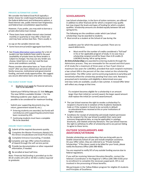#### **PRIVATE ALTERNATIVE LOANS**

We consider the federal Grad PLUS typically a better choice for credit-based funding because of the federal deferment and forbearance options, a fixed interest rate, public interest loan forgiveness and federal loan consolidation opportunities.

However, if you prefer, you may wish to borrow a private alternative loan instead.

**•** These loans have variable interest rates (revised monthly or quarterly) or may offer a fixed rate and may have various loan fees. There usually is

no cap on the variable interest rate.

- **•** Some have annual and/or aggregate loanlimits.
- **•** Se[e Private Alternative Loans section](https://law.seattleu.edu/student-life/student-services/student-financial-services/paying-for-law-school/financial-aid/loan-program-types/) for a list of lenders our law students have used in the past (availability of private loans by these lenders is subject to change). You may use any lender you choose, listed here or not, but read the loan terms and conditions carefully.

Please consider alternative loans as "loans of last resort" after you have utilized your personal and family resources, institutional and governmental funding, and work study opportunities. We suggest you secure alternative loans only when necessary.

#### **FILE EARLY EVERY YEAR**

.

• Students must apply for financial aid every Year to be awarded.

Submit your FAFSA by February 15. Visit **fafsa.gov**. The new FAFSA is available October 1 for the following academic year. Apply as early as possible to be considered for maximum funding.

Submit your supporting documents (e.g. tax return, government-issued ID, etc.).

- **•** Entering students are awarded, but funds will not disburse untilsupporting documents have been received by SFS.
- **•** Continuing students must have a complete file to be awarded.

#### **ENSURE YOUR FUNDING**

q Submit all the required documents quickly.

- Complete the Master Promissory Note(s) for the Direct Unsubsidized and Grad PLUS loans.
- Complete Entrance Counseling, if needed.
- Complete and sign Offer Letter/Conditions of Award through the self-service portal.
- Provide tax documentation or other requested information, if needed.
- q Be enrolled at least half-time.

*Note: Financial Aid funding is provided up to the 90 JD credits (24 LLM or 30 MLS credits) required to graduate.*

## **SCHOLARSHIPS**

Law School scholarships, in the form of tuition remission, are offered in addition to other financial aid for which a recipient may qualify but may impact the levels and types of funding for which a student qualifies. Scholarship amounts are divided equally between fall and spring terms.

The following are the conditions under which Law School scholarships may be awarded to students.

**•** Must enroll as a student at the School of Law during the

academic year for which the award is granted. There are no award deferments.

• Must enroll for the number of credits considered a "full load" in his or her applicable program of study. In no case may a scholarship recipient enroll for fewer than 6 JD credits (5 LLM/MLS) during fall or spring terms.

**At-Entry Scholarships** are awarded to entering students through the Admissions process. They are renewable for the second and third years of JD study (for a maximum of three years or four if part-time) or maximum two years for LLM/MLS, provided that each recipient maintains a law school GPA in the percent of the class noted on the scholarship award letter. The Offer Letter sent to continuing students in early May will tentatively reflect the scholarship pending final class rank. Renewal is presumed and is tentative until eligibility is determined once year end class ranks are available, usually in late summer. A revised Offer letter will reflect any change at that time.

If a recipient becomes eligible for a scholarship in an amount larger than their initial (or current) award, the larger award amount shall replace the initial (or current) award amount.

- **•** The Law School reserves the right to revoke a scholarship if a recipient is found to be in violation of the Academic Standards Code or if the recipient is found to be currently in default on educational loans received at this or prior institutions of higher education.
- **•** Conditions for receipt of scholarship aid include implicit permission by the recipient for the Law School to publish their name (and summary biographical data, as may be applicable) in catalogs, brochures, and related university literature. The Law School reserves the right to withdraw its offer of scholarship aid to any person failing to agree to these terms.

## **OUTSIDE SCHOLARSHIPS AND ASSISTANCE/VETERANS**

Outside scholarships are scholarships that you bring with you to Seattle University School of Law and include employer assistance. On your Offer Letter, they are referred to as "Private Outside Scholarships." If the donor needs to be billed for your funds, please notify the Business Office (206-398-4050).

You are required to notify SFS of any outside funding sources due to federal regulations.

If you will be receiving Veterans Education Benefits, contact the Veteran's Coordinator in the Registrar's Office (206-398-4150) prior to enrollment to complete the necessary paperwork. SFS is not involved in the processing of those benefits.

We participate in the Yellow Ribbon program for eligible JD students and Principles of Excellence.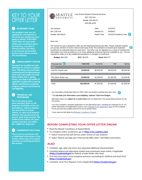## **KEY TO YOUR OFFFRIFTTFR**

#### **ACADEMIC YEAR** Œ

**The academic year you are applying for corresponds to the terms you stated you were going to attend. If this Offer Letter does not accurately reflect your enrollment plans by term (e.g., you plan to attend summer, but there is no financial aid awarded for the term), please contact SFS immediately.**

#### **ENROLLMENT STATUS**  $(2)$

You must be enrolled at least half-time to receive a student loan. Therefore, you must take a minimum of 3 credits summer term and 6 JD credits (5 LLM/ **MLS credits) fall or spring** terms. Less than 6 JD credits (5 LLM/MLS credits) fall or spring affects satisfactory academic progress, and you lose financial aid eligibility.

## **FINANCIAL AID PROGRAMS**

**This is the aid you have been awarded. Refer to the Programs Available section for descriptions. Indicate whether you would like to accept, reduce, or reject each program offered. You may decrease any loan or work study amount. The Stafford loan reflects the gross amount and does not reflect the 1.066% fee deduction.**

## **COMMENTS SECTION**

**There may be comments and/ or additional information in this section. Please pay very careful attention to anything printed in this section.**



Law School Student Financial Services

Dear Joe,

The School of Law is pleased to offer you the following financial aid offer. Please indicate whether you accept, decline or wish to reduce each type of aid. The assistance is based upon expected **2** enrollment as indicated below for each term. Your offer may be adjusted as a result of verifying the information you have provided to us or if any additional resources become available to you. You are required to notify us of any additional assistance or changes in enrollment.

| <b>Budget: \$91,556</b> | EFC: \$6,979     | <b>Need: \$84,577</b> |            |            |
|-------------------------|------------------|-----------------------|------------|------------|
| <b>Financial Aid 3</b>  | <b>Total Aid</b> | Summer                | Fall       | Spring     |
| Loan                    |                  |                       |            |            |
| Fed Dir Unsub Loan      | 20,500.00        | \$6,833.00            | \$6,833.00 | \$6,834.00 |
| <b>Work Study</b>       |                  |                       |            |            |
| Fed Work Study-Law      | \$3,000.00       | \$1,000.00            | \$1,000.00 | \$1,000.00 |
|                         |                  |                       |            |            |
| Total                   | \$23,500.00      | \$7,833.00            | \$7,833.00 | \$7,834.00 |

Any renewable scholarships listed on Offer Letter are tentative pending final class rank. **4**

**\* To calculate your Alternative Loan eligibility, subtract** *Total* **from** *Budget***.**

Alternative loans are *subject to a credit check* and are disbursed in two equal disbursements for fall and spring.

4

You must complete a separate application for the alternative loans, including the Graduate PLUS. For further information and application process, see Graduate PLUS Application Steps for the Graduate PLUS and [www.law.seattleu.edu/x1270.xml fo](http://www.law.seattleu.edu/x1270.xml)r private loans.

I have read and will abide by all Master Conditions of Award.

## **BEFORE COMPLETING YOUR OFFER LETTER ONLINE**

- **•** Read the Master Conditions of Award (MCA).
- **•** To complete online acceptance, go to **<https://my.seattleu.edu/>**
	- **•** Select Financial Aid Self Service under School of Law students
	- **•** Select "Review and Sign your Financial Aid Offer Letter" and follow instructions.

## **ALSO**

- **•** Complete, sign, date and return any requested additional documentation.
- **•** Complete federal and alternative student loan promissory notes online, if applicable (**[https://studentaid.gov\)](https://studentaid.gov/)** for federal; private lender sites vary).
- **•** First time borrowers must complete entrance counseling for Stafford and Grad PLUS **[\(https://studentaid.gov](https://studentaid.gov/)**).
- **•** Complete Grad Plus Request Form,if applicable(**[https://studentaid.gov](https://studentaid.gov/)**).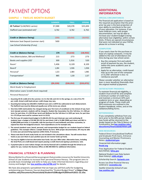# PAYMENT OPTIONS

## **SAMPLE — TWELVE MONTH BUDGET**

|                                                        | <b>SUMMER</b> | <b>FALL</b> | <b>SPRING</b> |
|--------------------------------------------------------|---------------|-------------|---------------|
|                                                        |               |             |               |
| JD Tuition <sup>1</sup> (LLM/MLS varies)               | \$7,088       | \$20,378    | \$25,694      |
| Stafford Loan (estimated net) <sup>2</sup>             | 6,762         | 6,762       | 6,762         |
|                                                        |               |             |               |
| <b>Credit or (Balance Owing)</b>                       | (326)         | (13,616)    | (18, 932)     |
| Admission Seat Deposit (summer start)                  | 500           |             |               |
| Law School Scholarship (if any)                        |               |             |               |
|                                                        |               |             |               |
| <b>Credit or (Balance Owing)</b>                       | 174           | (13, 616)   | (18, 932)     |
| Fees (Matriculation, SBA and Wellness) <sup>3</sup>    | 215           | 273         | 273           |
| Books and supplies (JD) <sup>4</sup>                   | 300           | 1,016       | 520           |
| Room <sup>5</sup>                                      | 5,406         | 8,109       | 8,109         |
| Board <sup>5</sup>                                     | 1,284         | 1,926       | 1,926         |
| Personal <sup>5</sup>                                  | 1,323         | 1,984       | 1,985         |
| Transportation <sup>5</sup>                            | 885           | 1,328       | 1,327         |
|                                                        |               |             |               |
| <b>Credit or (Balance Owing)</b>                       | (59, 239)     | (528, 252)  | ( \$33,072)   |
| Work Study <sup>6</sup> or Employment                  |               |             |               |
| Alternative Loans <sup>7</sup> (credit check required) |               |             |               |

Personal Resources<sup>8</sup>

**1. Assuming 30 JD credits (4 in the summer; 11.5 in the fall; and 14.5 in the spring), at a rate of \$1,772 per credit. Actual credit load and per credit charge may vary.**

- **2. Assuming borrowing max \$20,500 in Stafford Loan and a 1.057% fee subtracted at each disbursement. The Stafford Loan must be disbursed equally over all the terms you attend.**
- **3. One-time \$100 matriculation fee charged during your first term of enrollment at the School of Law. Each term (except summer), students will be charged a Student Bar Association fee (For full-time, it is \$48 per term; for part-time, it is \$35.50 per term) and Wellness fee (for full-time it is \$225 per term, for part time it is 172.50 per term and for summer term it is \$115)**
- **4. The first year JD student book budget is \$1,836 (\$1,351 for part-time) per year and continuing JD students have a budget of \$2,506 (\$2,116 for part-time); LLM is \$1,800 (\$900 part-time) and MLS is \$1,800 (\$900 part-time). It is possible, with the purchase of used textbooks and other economies, to expend less than the budgeted amount. Term expenditures are for example only.**
- **5. The annual standard room, board, personal, and transportation budget for our students based on federal guidelines. This example reflects a sample division by term. With proper documentation, SFS may be able to revise your personal living expenses within limits, if necessary.**
- **6. Please note that JD work study funds are not included in the calculations above. You will receive these funds as you earn them in your position (you do not receive funds up front).**
- *7.* **You may be eligible to borrow alternative loan funds. See your Offer Letter.** *Alternative loans, including the Grad PLUS, are credit based and require passing a credit check and signing a promissory note.*
- **8. A payment plan to cover tuition charges not met by financial aid is available through the School as an option for you. Contact the Business Office at 206-398-4050 for additional information.**

## **FINANCIAL LITERACY & PLANNING**

MoneyMatter\$ is a financial literacy program that providesresourcesfor Seattle University School of Law students to increase their personal finance literacy. The program aims to provide basic knowledge and skills to help you make informed decisions regarding your money and budget. See **[law.seattleu.edu/x6786.xml](https://redhawks-my.sharepoint.com/personal/lbert_seattleu_edu/Documents/Documents/law.seattleu.edu/x6786.xml)** for details.

We have also prepared a spreadsheet that we hope you will find useful for budgeting and planning yourfinances. Youcan download the "Student Budget Sheet" at **https://law. seattleu.edu/Documents/financialaid/Student%20Budget%20Sheet%2021-22.xlsx**.

## **ADDITIONAL INFORMATION**

## **SPECIAL CIRCUMSTANCES**

The financial aid application is based on the required assumption that the priorprior tax year is the best projection of your ability to contribute to the cost of your education. For instance, if you have childcare costs, with proper documentation, we may be able to increase your student budget (raising alternative loan eligibility), within certain limits. If there are special circumstances that were not indicated on your FAFSA, please let us know in writing.

## **COMPUTERS**

If you need a loan for the purchase or lease of a laptop computer, it may be added to the cost of attendance one time during your law school career.

- 1. Buy the computer first and submit proof of payment by you, the student, within the same academic year as purchased.
- 2. Apply for an alternative, credit-based loan up to the cost of the computer or \$1,450- whichever is less- to reimburse yourself.

*Please consider whether an alternative loan is more beneficial financially than the original method of payment.*

## **SATISFACTORY PROGRESS**

To maintain financial aid eligibility, a student must enroll for and complete a minimum number of credit hours and maintain a minimum GPA each academic term or year, depending on program of study. Those credit and GPA minimums are outlined in the *Student Handbook*, online, and on the validation/billing forms.

## **WITHDRAWALS**

If you completely withdraw from any term prior to the 60% period, federal loan funds will be returned to the lender based on the Title IV Return of Fundspolicy. See**[law.seattleu.edu/](https://redhawks-my.sharepoint.com/personal/lbert_seattleu_edu/Documents/Documents/law.seattleu.edu/%20documents/financialaid/titleiv.pdf)  [documents/financialaid/titleiv.pdf](https://redhawks-my.sharepoint.com/personal/lbert_seattleu_edu/Documents/Documents/law.seattleu.edu/%20documents/financialaid/titleiv.pdf)**.

## **WEB RESOURCES**

Federal Direct Unsubsidized Stafford and Graduate PLUS loans, Entrance Counseling and Master Promissory Notes: **[studentaid.gov](https://redhawks-my.sharepoint.com/personal/lbert_seattleu_edu/Documents/Documents/law.seattleu.edu/%20documents/financialaid/titleiv.pdf)**

Financial Aid information page: **[finaid.org](https://redhawks-my.sharepoint.com/personal/lbert_seattleu_edu/Documents/Documents/finaid.org)**

Free Application for Federal Student Aid (FAFSA): **[fafsa.gov](https://redhawks-my.sharepoint.com/personal/lbert_seattleu_edu/Documents/Documents/fafsa.gov)**

National Student Loan Data System (loan history): **[nslds.ed.gov](https://redhawks-my.sharepoint.com/personal/lbert_seattleu_edu/Documents/Documents/nslds.ed.gov)**

Scholarship Search: **[fastweb.com](https://redhawks-my.sharepoint.com/personal/lbert_seattleu_edu/Documents/Documents/fastweb.com)**

Access Lex (free financial literacy webinars): **[accesslex.org](https://redhawks-my.sharepoint.com/personal/lbert_seattleu_edu/Documents/Documents/accesslex.org)**

Seattle University School of Law: **[law.seattleu.edu](https://redhawks-my.sharepoint.com/personal/lbert_seattleu_edu/Documents/Documents/law.seattleu.edu)**